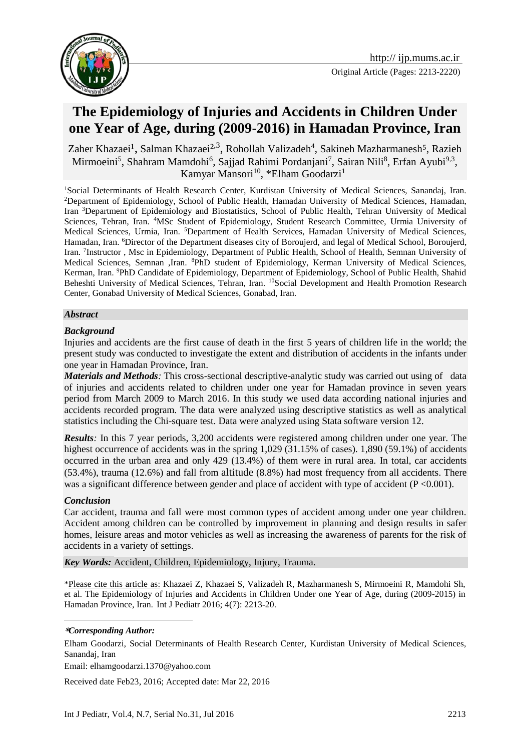

# **The Epidemiology of Injuries and Accidents in Children Under one Year of Age, during (2009-2016) in Hamadan Province, Iran**

Zaher Khazaei<sup>1</sup>, Salman Khazaei<sup>2,3</sup>, Rohollah Valizadeh<sup>4</sup>, Sakineh Mazharmanesh<sup>5</sup>, Razieh Mirmoeini<sup>5</sup>, Shahram Mamdohi<sup>6</sup>, Sajjad Rahimi Pordanjani<sup>7</sup>, Sairan Nili<sup>8</sup>, Erfan Ayubi<sup>9,3</sup>, Kamyar Mansori<sup>10</sup>, \*Elham Goodarzi<sup>1</sup>

<sup>1</sup>Social Determinants of Health Research Center, Kurdistan University of Medical Sciences, Sanandaj, Iran. <sup>2</sup>Department of Epidemiology, School of Public Health, Hamadan University of Medical Sciences, Hamadan, Iran <sup>3</sup>Department of Epidemiology and Biostatistics, School of Public Health, Tehran University of Medical Sciences, Tehran, Iran. <sup>4</sup>MSc Student of Epidemiology, Student Research Committee, Urmia University of Medical Sciences, Urmia, Iran. <sup>5</sup>Department of Health Services, Hamadan University of Medical Sciences, Hamadan, Iran. <sup>6</sup>Director of the Department diseases city of Boroujerd, and legal of Medical School, Boroujerd, Iran. <sup>7</sup>Instructor, Msc in Epidemiology, Department of Public Health, School of Health, Semnan University of Medical Sciences, Semnan ,Iran. <sup>8</sup>PhD student of Epidemiology, Kerman University of Medical Sciences, Kerman, Iran. <sup>9</sup>PhD Candidate of Epidemiology, Department of Epidemiology, School of Public Health, Shahid Beheshti University of Medical Sciences, Tehran, Iran. <sup>10</sup>Social Development and Health Promotion Research Center, Gonabad University of Medical Sciences, Gonabad, Iran.

## *Abstract*

# *Background*

Injuries and accidents are the first cause of death in the first 5 years of children life in the world; the present study was conducted to investigate the extent and distribution of accidents in the infants under one year in Hamadan Province, Iran.

*Materials and Methods:* This cross-sectional descriptive-analytic study was carried out using of data of injuries and accidents related to children under one year for Hamadan province in seven years period from March 2009 to March 2016. In this study we used data according national injuries and accidents recorded program. The data were analyzed using descriptive statistics as well as analytical statistics including the Chi-square test. Data were analyzed using Stata software version 12.

*Results:* In this 7 year periods, 3,200 accidents were registered among children under one year. The highest occurrence of accidents was in the spring  $1,029$  (31.15% of cases). 1,890 (59.1%) of accidents occurred in the urban area and only 429 (13.4%) of them were in rural area. In total, car accidents (53.4%), trauma (12.6%) and fall from altitude (8.8%) had most frequency from all accidents. There was a significant difference between gender and place of accident with type of accident (P <0.001).

## *Conclusion*

1

Car accident, trauma and fall were most common types of accident among under one year children. Accident among children can be controlled by improvement in planning and design results in safer homes, leisure areas and motor vehicles as well as increasing the awareness of parents for the risk of accidents in a variety of settings.

*Key Words:* Accident, Children, Epidemiology, Injury, Trauma.

\*Please cite this article as: Khazaei Z, Khazaei S, Valizadeh R, Mazharmanesh S, Mirmoeini R, Mamdohi Sh, et al. The Epidemiology of Injuries and Accidents in Children Under one Year of Age, during (2009-2015) in Hamadan Province, Iran. Int J Pediatr 2016; 4(7): 2213-20.

#### **\****Corresponding Author:*

Elham Goodarzi, Social Determinants of Health Research Center, Kurdistan University of Medical Sciences, Sanandaj, Iran

Email: elhamgoodarzi.1370@yahoo.com

Received date Feb23, 2016; Accepted date: Mar 22, 2016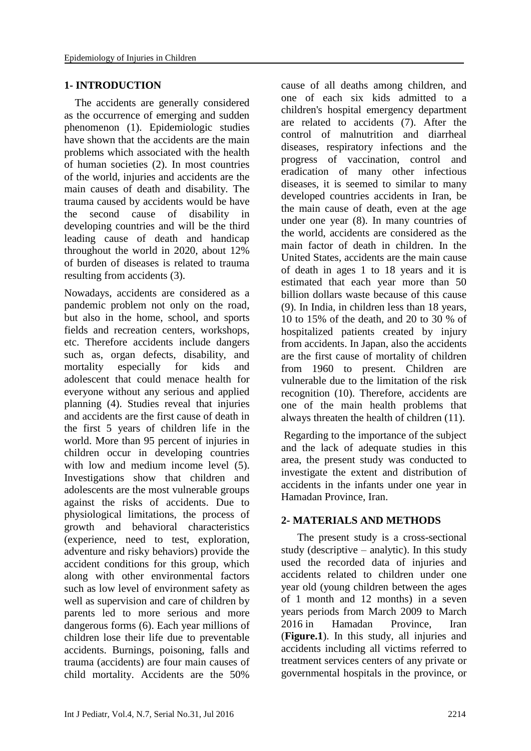# **1- INTRODUCTION**

 The accidents are generally considered as the occurrence of emerging and sudden phenomenon (1). Epidemiologic studies have shown that the accidents are the main problems which associated with the health of human societies (2). In most countries of the world, injuries and accidents are the main causes of death and disability. The trauma caused by accidents would be have the second cause of disability in developing countries and will be the third leading cause of death and handicap throughout the world in 2020, about 12% of burden of diseases is related to trauma resulting from accidents (3).

Nowadays, accidents are considered as a pandemic problem not only on the road, but also in the home, school, and sports fields and recreation centers, workshops, etc. Therefore accidents include dangers such as, organ defects, disability, and mortality especially for kids and adolescent that could menace health for everyone without any serious and applied planning (4). Studies reveal that injuries and accidents are the first cause of death in the first 5 years of children life in the world. More than 95 percent of injuries in children occur in developing countries with low and medium income level (5). Investigations show that children and adolescents are the most vulnerable groups against the risks of accidents. Due to physiological limitations, the process of growth and behavioral characteristics (experience, need to test, exploration, adventure and risky behaviors) provide the accident conditions for this group, which along with other environmental factors such as low level of environment safety as well as supervision and care of children by parents led to more serious and more dangerous forms (6). Each year millions of children lose their life due to preventable accidents. Burnings, poisoning, falls and trauma (accidents) are four main causes of child mortality. Accidents are the 50%

cause of all deaths among children, and one of each six kids admitted to a children's hospital emergency department are related to accidents (7). After the control of malnutrition and diarrheal diseases, respiratory infections and the progress of vaccination, control and eradication of many other infectious diseases, it is seemed to similar to many developed countries accidents in Iran, be the main cause of death, even at the age under one year (8). In many countries of the world, accidents are considered as the main factor of death in children. In the United States, accidents are the main cause of death in ages 1 to 18 years and it is estimated that each year more than 50 billion dollars waste because of this cause (9). In India, in children less than 18 years, 10 to 15% of the death, and 20 to 30 % of hospitalized patients created by injury from accidents. In Japan, also the accidents are the first cause of mortality of children from 1960 to present. Children are vulnerable due to the limitation of the risk recognition (10). Therefore, accidents are one of the main health problems that always threaten the health of children (11).

Regarding to the importance of the subject and the lack of adequate studies in this area, the present study was conducted to investigate the extent and distribution of accidents in the infants under one year in Hamadan Province, Iran.

## **2- MATERIALS AND METHODS**

 The present study is a cross-sectional study (descriptive – analytic). In this study used the recorded data of injuries and accidents related to children under one year old (young children between the ages of 1 month and 12 months) in a seven years periods from March 2009 to March 2016 in Hamadan Province, Iran (**Figure.1**). In this study, all injuries and accidents including all victims referred to treatment services centers of any private or governmental hospitals in the province, or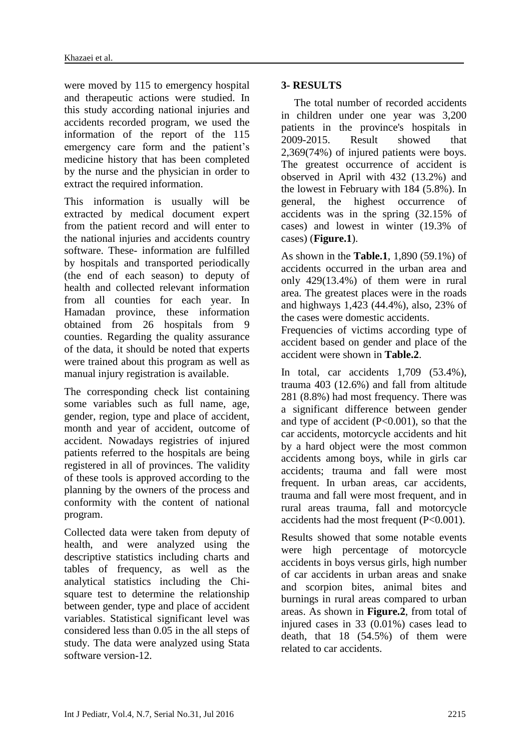were moved by 115 to emergency hospital and therapeutic actions were studied. In this study according national injuries and accidents recorded program, we used the information of the report of the 115 emergency care form and the patient's medicine history that has been completed by the nurse and the physician in order to extract the required information.

This information is usually will be extracted by medical document expert from the patient record and will enter to the national injuries and accidents country software. These- information are fulfilled by hospitals and transported periodically (the end of each season) to deputy of health and collected relevant information from all counties for each year. In Hamadan province, these information obtained from 26 hospitals from 9 counties. Regarding the quality assurance of the data, it should be noted that experts were trained about this program as well as manual injury registration is available.

The corresponding check list containing some variables such as full name, age, gender, region, type and place of accident, month and year of accident, outcome of accident. Nowadays registries of injured patients referred to the hospitals are being registered in all of provinces. The validity of these tools is approved according to the planning by the owners of the process and conformity with the content of national program.

Collected data were taken from deputy of health, and were analyzed using the descriptive statistics including charts and tables of frequency, as well as the analytical statistics including the Chisquare test to determine the relationship between gender, type and place of accident variables. Statistical significant level was considered less than 0.05 in the all steps of study. The data were analyzed using Stata software version-12.

# **3- RESULTS**

The total number of recorded accidents in children under one year was 3,200 patients in the province's hospitals in 2009-2015. Result showed that 2,369(74%) of injured patients were boys. The greatest occurrence of accident is observed in April with 432 (13.2%) and the lowest in February with 184 (5.8%). In general, the highest occurrence of accidents was in the spring (32.15% of cases) and lowest in winter (19.3% of cases) (**Figure.1**).

As shown in the **Table.1**, 1,890 (59.1%) of accidents occurred in the urban area and only 429(13.4%) of them were in rural area. The greatest places were in the roads and highways 1,423 (44.4%), also, 23% of the cases were domestic accidents.

Frequencies of victims according type of accident based on gender and place of the accident were shown in **Table.2**.

In total, car accidents 1,709 (53.4%), trauma 403 (12.6%) and fall from altitude 281 (8.8%) had most frequency. There was a significant difference between gender and type of accident (P<0.001), so that the car accidents, motorcycle accidents and hit by a hard object were the most common accidents among boys, while in girls car accidents; trauma and fall were most frequent. In urban areas, car accidents, trauma and fall were most frequent, and in rural areas trauma, fall and motorcycle accidents had the most frequent (P<0.001).

Results showed that some notable events were high percentage of motorcycle accidents in boys versus girls, high number of car accidents in urban areas and snake and scorpion bites, animal bites and burnings in rural areas compared to urban areas. As shown in **Figure.2**, from total of injured cases in 33 (0.01%) cases lead to death, that 18 (54.5%) of them were related to car accidents.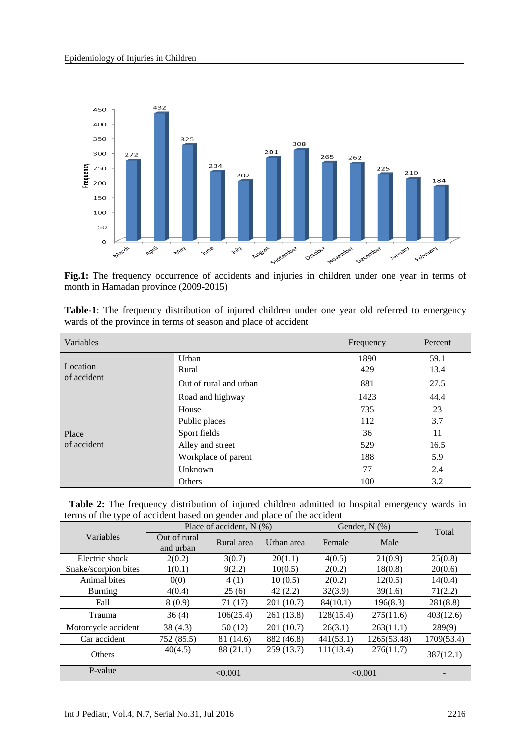

**Fig.1:** The frequency occurrence of accidents and injuries in children under one year in terms of month in Hamadan province (2009-2015)

| Variables               |                        | Frequency | Percent |
|-------------------------|------------------------|-----------|---------|
|                         | Urban                  | 1890      | 59.1    |
| Location<br>of accident | Rural                  | 429       | 13.4    |
|                         | Out of rural and urban | 881       | 27.5    |
| Place<br>of accident    | Road and highway       | 1423      | 44.4    |
|                         | House                  | 735       | 23      |
|                         | Public places          | 112       | 3.7     |
|                         | Sport fields           | 36        | 11      |
|                         | Alley and street       | 529       | 16.5    |
|                         | Workplace of parent    | 188       | 5.9     |
|                         | Unknown                | 77        | 2.4     |
|                         | Others                 | 100       | 3.2     |

| <b>Table-1</b> : The frequency distribution of injured children under one year old referred to emergency |  |  |  |  |  |
|----------------------------------------------------------------------------------------------------------|--|--|--|--|--|
| wards of the province in terms of season and place of accident                                           |  |  |  |  |  |

| <b>Table 2:</b> The frequency distribution of injured children admitted to hospital emergency wards in |  |  |  |
|--------------------------------------------------------------------------------------------------------|--|--|--|
| terms of the type of accident based on gender and place of the accident                                |  |  |  |

|                      | Place of accident, $N(\%)$ |            |            | Gender, $N$ $(\%)$ | Total       |            |  |
|----------------------|----------------------------|------------|------------|--------------------|-------------|------------|--|
| Variables            | Out of rural<br>and urban  | Rural area | Urban area | Female             | Male        |            |  |
| Electric shock       | 2(0.2)                     | 3(0.7)     | 20(1.1)    | 4(0.5)             | 21(0.9)     | 25(0.8)    |  |
| Snake/scorpion bites | 1(0.1)                     | 9(2.2)     | 10(0.5)    | 2(0.2)             | 18(0.8)     | 20(0.6)    |  |
| Animal bites         | 0(0)                       | 4(1)       | 10(0.5)    | 2(0.2)             | 12(0.5)     | 14(0.4)    |  |
| <b>Burning</b>       | 4(0.4)                     | 25(6)      | 42(2.2)    | 32(3.9)            | 39(1.6)     | 71(2.2)    |  |
| Fall                 | 8(0.9)                     | 71(17)     | 201 (10.7) | 84(10.1)           | 196(8.3)    | 281(8.8)   |  |
| Trauma               | 36(4)                      | 106(25.4)  | 261 (13.8) | 128(15.4)          | 275(11.6)   | 403(12.6)  |  |
| Motorcycle accident  | 38 (4.3)                   | 50(12)     | 201 (10.7) | 26(3.1)            | 263(11.1)   | 289(9)     |  |
| Car accident         | 752 (85.5)                 | 81 (14.6)  | 882 (46.8) | 441(53.1)          | 1265(53.48) | 1709(53.4) |  |
| Others               | 40(4.5)                    | 88 (21.1)  | 259(13.7)  | 111(13.4)          | 276(11.7)   | 387(12.1)  |  |
| P-value              |                            | < 0.001    |            |                    | < 0.001     |            |  |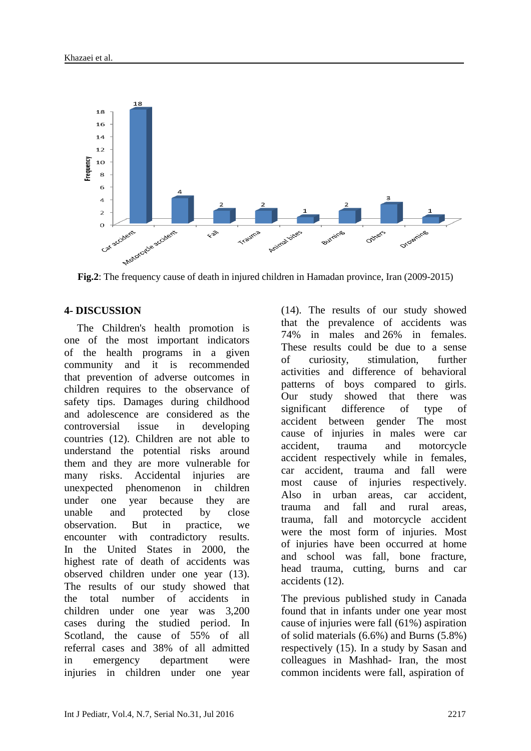

**Fig.2**: The frequency cause of death in injured children in Hamadan province, Iran (2009-2015)

# **4- DISCUSSION**

The Children's health promotion is one of the most important indicators of the health programs in a given community and it is recommended that prevention of adverse outcomes in children requires to the observance of safety tips. Damages during childhood and adolescence are considered as the controversial issue in developing countries (12). Children are not able to understand the potential risks around them and they are more vulnerable for many risks. Accidental injuries are unexpected phenomenon in children under one year because they are unable and protected by close observation. But in practice, we encounter with contradictory results. In the United States in 2000, the highest rate of death of accidents was observed children under one year (13). The results of our study showed that the total number of accidents in children under one year was 3,200 cases during the studied period. In Scotland, the cause of 55% of all referral cases and 38% of all admitted in emergency department were injuries in children under one year (14). The results of our study showed that the prevalence of accidents was 74% in males and 26% in females. These results could be due to a sense of curiosity, stimulation, further activities and difference of behavioral patterns of boys compared to girls. Our study showed that there was significant difference of type of accident between gender The most cause of injuries in males were car accident, trauma and motorcycle accident respectively while in females, car accident, trauma and fall were most cause of injuries respectively. Also in urban areas, car accident, trauma and fall and rural areas, trauma, fall and motorcycle accident were the most form of injuries. Most of injuries have been occurred at home and school was fall, bone fracture, head trauma, cutting, burns and car accidents (12).

The previous published study in Canada found that in infants under one year most cause of injuries were fall (61%) aspiration of solid materials (6.6%) and Burns (5.8%) respectively (15). In a study by Sasan and colleagues in Mashhad- Iran, the most common incidents were fall, aspiration of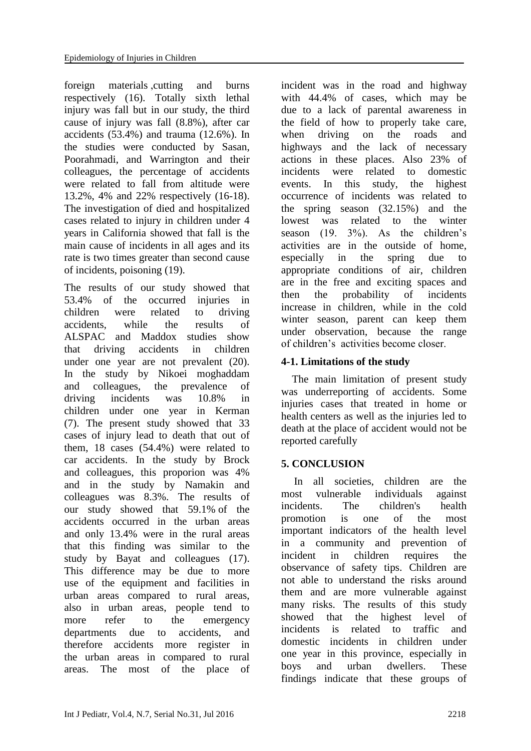foreign materials ,cutting and burns respectively (16). Totally sixth lethal injury was fall but in our study, the third cause of injury was fall (8.8%), after car accidents (53.4%) and trauma (12.6%). In the studies were conducted by Sasan, Poorahmadi, and Warrington and their colleagues, the percentage of accidents were related to fall from altitude were 13.2%, 4% and 22% respectively (16-18). The investigation of died and hospitalized cases related to injury in children under 4 years in California showed that fall is the main cause of incidents in all ages and its rate is two times greater than second cause of incidents, poisoning (19).

The results of our study showed that 53.4% of the occurred injuries in children were related to driving accidents, while the results of ALSPAC and Maddox studies show that driving accidents in children under one year are not prevalent (20). In the study by Nikoei moghaddam and colleagues, the prevalence of driving incidents was 10.8% in children under one year in Kerman (7). The present study showed that 33 cases of injury lead to death that out of them, 18 cases (54.4%) were related to car accidents. In the study by Brock and colleagues, this proporion was 4% and in the study by Namakin and colleagues was 8.3%. The results of our study showed that 59.1% of the accidents occurred in the urban areas and only 13.4% were in the rural areas that this finding was similar to the study by Bayat and colleagues (17). This difference may be due to more use of the equipment and facilities in urban areas compared to rural areas, also in urban areas, people tend to more refer to the emergency departments due to accidents, and therefore accidents more register in the urban areas in compared to rural areas. The most of the place of incident was in the road and highway with 44.4% of cases, which may be due to a lack of parental awareness in the field of how to properly take care, when driving on the roads and highways and the lack of necessary actions in these places. Also 23% of incidents were related to domestic events. In this study, the highest occurrence of incidents was related to the spring season (32.15%) and the lowest was related to the winter season (19. 3%). As the children's activities are in the outside of home, especially in the spring due to appropriate conditions of air, children are in the free and exciting spaces and then the probability of incidents increase in children, while in the cold winter season, parent can keep them under observation, because the range of children's activities become closer.

# **4-1. Limitations of the study**

 The main limitation of present study was underreporting of accidents. Some injuries cases that treated in home or health centers as well as the injuries led to death at the place of accident would not be reported carefully

# **5. CONCLUSION**

In all societies, children are the most vulnerable individuals against incidents. The children's health promotion is one of the most important indicators of the health level in a community and prevention of incident in children requires the observance of safety tips. Children are not able to understand the risks around them and are more vulnerable against many risks. The results of this study showed that the highest level of incidents is related to traffic and domestic incidents in children under one year in this province, especially in boys and urban dwellers. These findings indicate that these groups of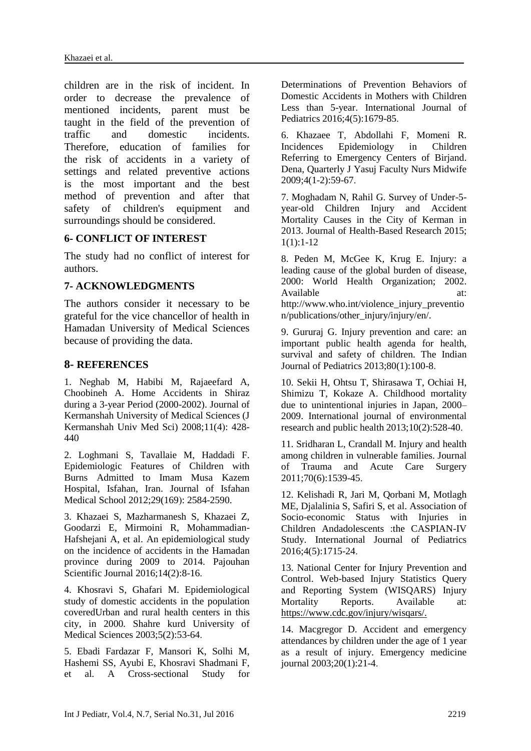children are in the risk of incident. In order to decrease the prevalence of mentioned incidents, parent must be taught in the field of the prevention of traffic and domestic incidents. Therefore, education of families for the risk of accidents in a variety of settings and related preventive actions is the most important and the best method of prevention and after that safety of children's equipment and surroundings should be considered.

#### **6- CONFLICT OF INTEREST**

The study had no conflict of interest for authors.

#### **7- ACKNOWLEDGMENTS**

The authors consider it necessary to be grateful for the vice chancellor of health in Hamadan University of Medical Sciences because of providing the data.

## **8- REFERENCES**

1. Neghab M, Habibi M, Rajaeefard A, Choobineh A. Home Accidents in Shiraz during a 3-year Period (2000-2002). Journal of Kermanshah University of Medical Sciences (J Kermanshah Univ Med Sci) 2008:11(4): 428-440

2. Loghmani S, Tavallaie M, Haddadi F. Epidemiologic Features of Children with Burns Admitted to Imam Musa Kazem Hospital, Isfahan, Iran. Journal of Isfahan Medical School 2012;29(169): 2584-2590.

3. Khazaei S, Mazharmanesh S, Khazaei Z, Goodarzi E, Mirmoini R, Mohammadian-Hafshejani A, et al. An epidemiological study on the incidence of accidents in the Hamadan province during 2009 to 2014. Pajouhan Scientific Journal 2016;14(2):8-16.

4. Khosravi S, Ghafari M. Epidemiological study of domestic accidents in the population coveredUrban and rural health centers in this city, in 2000. Shahre kurd University of Medical Sciences 2003;5(2):53-64.

5. Ebadi Fardazar F, Mansori K, Solhi M, Hashemi SS, Ayubi E, Khosravi Shadmani F, et al. A Cross-sectional Study for Determinations of Prevention Behaviors of Domestic Accidents in Mothers with Children Less than 5-year. International Journal of Pediatrics 2016;4(5):1679-85.

6. Khazaee T, Abdollahi F, Momeni R. Incidences Epidemiology in Children Referring to Emergency Centers of Birjand. Dena, Quarterly J Yasuj Faculty Nurs Midwife 2009;4(1-2):59-67.

7. Moghadam N, Rahil G. Survey of Under-5 year-old Children Injury and Accident Mortality Causes in the City of Kerman in 2013. Journal of Health-Based Research 2015; 1(1):1-12

8. Peden M, McGee K, Krug E. Injury: a leading cause of the global burden of disease, 2000: World Health Organization; 2002. Available at: at: http://www.who.int/violence\_injury\_preventio n/publications/other\_injury/injury/en/.

9. Gururaj G. Injury prevention and care: an important public health agenda for health, survival and safety of children. The Indian Journal of Pediatrics 2013;80(1):100-8.

10. Sekii H, Ohtsu T, Shirasawa T, Ochiai H, Shimizu T, Kokaze A. Childhood mortality due to unintentional injuries in Japan, 2000– 2009. International journal of environmental research and public health 2013;10(2):528-40.

11. Sridharan L, Crandall M. Injury and health among children in vulnerable families. Journal of Trauma and Acute Care Surgery 2011;70(6):1539-45.

12. Kelishadi R, Jari M, Qorbani M, Motlagh ME, Djalalinia S, Safiri S, et al. Association of Socio-economic Status with Injuries in Children Andadolescents :the CASPIAN-IV Study. International Journal of Pediatrics 2016;4(5):1715-24.

13. National Center for Injury Prevention and Control. Web-based Injury Statistics Query and Reporting System (WISQARS) Injury Mortality Reports. Available at: https://www.cdc.gov/injury/wisqars/.

14. Macgregor D. Accident and emergency attendances by children under the age of 1 year as a result of injury. Emergency medicine journal 2003;20(1):21-4.